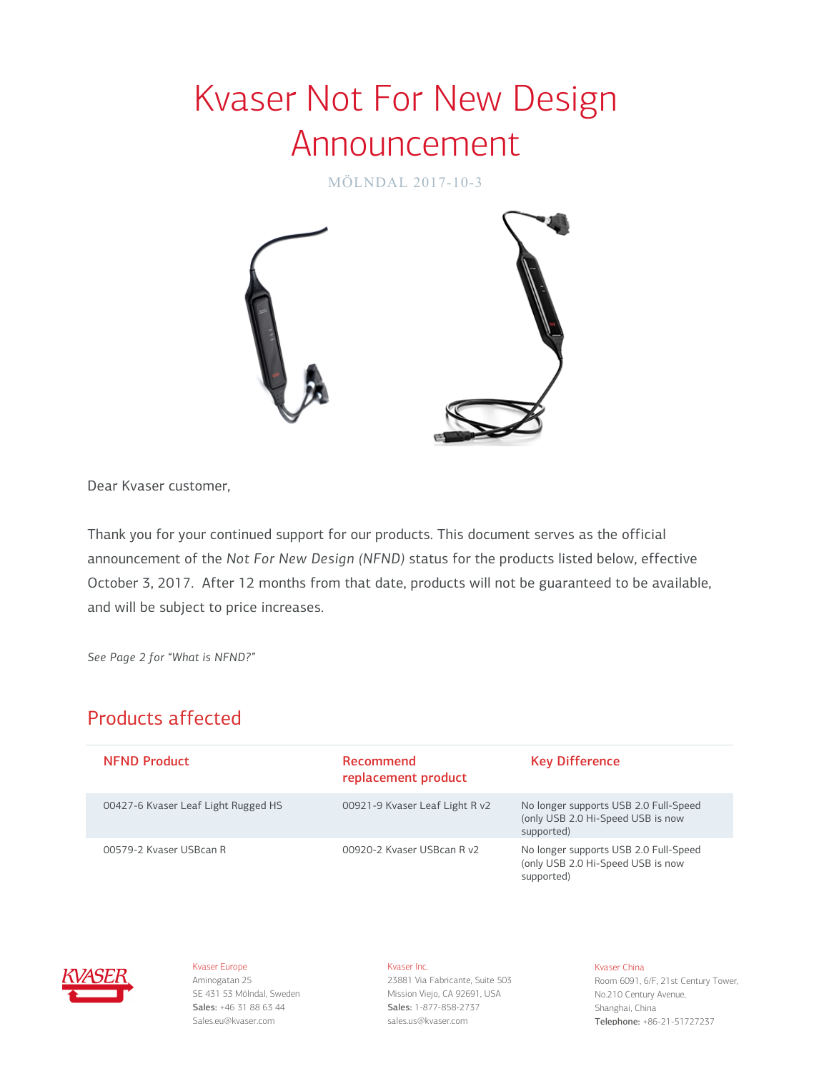# Kvaser Not For New Design Announcement

MÖLNDAL 2017-10-3



Dear Kvaser customer,

Thank you for your continued support for our products. This document serves as the official announcement of the *Not For New Design (NFND)* status for the products listed below, effective October 3, 2017. After 12 months from that date, products will not be guaranteed to be available, and will be subject to price increases.

*See Page 2 for "What is NFND?"*

## Products affected

| <b>NEND Product</b>                 | <b>Recommend</b><br>replacement product | <b>Key Difference</b>                                                                    |
|-------------------------------------|-----------------------------------------|------------------------------------------------------------------------------------------|
| 00427-6 Kvaser Leaf Light Rugged HS | 00921-9 Kvaser Leaf Light R v2          | No longer supports USB 2.0 Full-Speed<br>(only USB 2.0 Hi-Speed USB is now<br>supported) |
| 00579-2 Kvaser USBcan R             | 00920-2 Kvaser USBcan R v2              | No longer supports USB 2.0 Full-Speed<br>(only USB 2.0 Hi-Speed USB is now<br>supported) |



Kvaser Europe Aminogatan 25 SE 431 53 Mölndal, Sweden Sales: +46 31 88 63 44 Sales.eu@kvaser.com

## Kvaser Inc.

23881 Via Fabricante, Suite 503 Mission Viejo, CA 92691, USA Sales: 1-877-858-2737 sales.us@kvaser.com

#### Kvaser China

Room 6091, 6/F, 21st Century Tower, No.210 Century Avenue, Shanghai, China Telephone: +86-21-51727237